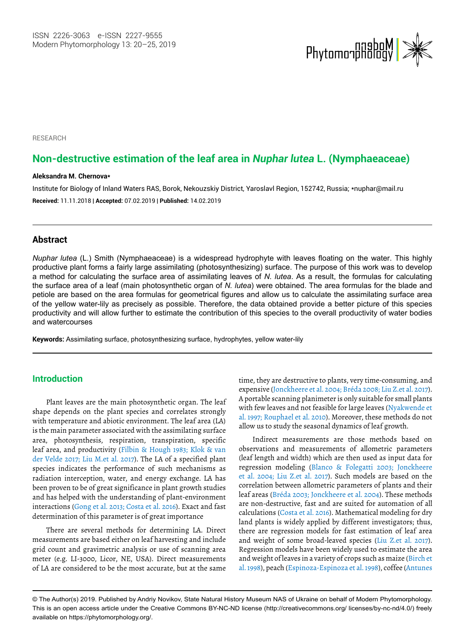

#### **RESEARCH**

# **Non-destructive estimation of the leaf area in** *Nuphar lutea* **L. (Nymphaeaceae)**

#### **Aleksandra M. Chernova\***

Institute for Biology of Inland Waters RAS, Borok, Nekouzskiy District, Yaroslavl Region, 152742, Russia; \*nuphar@mail.ru **Received:** 11.11.2018 | **Accepted:** 07.02.2019 | **Published:** 14.02.2019

### **Abstract**

*Nuphar lutea* (L.) Smith (Nymphaeaceae) is a widespread hydrophyte with leaves floating on the water. This highly productive plant forms a fairly large assimilating (photosynthesizing) surface. The purpose of this work was to develop a method for calculating the surface area of assimilating leaves of *N. lutea*. As a result, the formulas for calculating the surface area of a leaf (main photosynthetic organ of *N. lutea*) were obtained. The area formulas for the blade and petiole are based on the area formulas for geometrical figures and allow us to calculate the assimilating surface area of the yellow water-lily as precisely as possible. Therefore, the data obtained provide a better picture of this species productivity and will allow further to estimate the contribution of this species to the overall productivity of water bodies and watercourses

**Keywords:** Assimilating surface, photosynthesizing surface, hydrophytes, yellow water-lily

# **Introduction**

Plant leaves are the main photosynthetic organ. The leaf shape depends on the plant species and correlates strongly with temperature and abiotic environment. The leaf area (LA) is the main parameter associated with the assimilating surface area, photosynthesis, respiration, transpiration, specific leaf area, and productivity (Filbin & Hough 1983; Klok & van der Velde 2017; Liu M.et al. 2017). The LA of a specified plant species indicates the performance of such mechanisms as radiation interception, water, and energy exchange. LA has been proven to be of great significance in plant growth studies and has helped with the understanding of plant-environment interactions (Gong et al. 2013; Costa et al. 2016). Exact and fast determination of this parameter is of great importance

There are several methods for determining LA. Direct measurements are based either on leaf harvesting and include grid count and gravimetric analysis or use of scanning area meter (e.g. LI-3000, Licor, NE, USA). Direct measurements of LA are considered to be the most accurate, but at the same time, they are destructive to plants, very time-consuming, and expensive (Jonckheere et al. 2004; Bréda 2008; Liu Z.et al. 2017). A portable scanning planimeter is only suitable for small plants with few leaves and not feasible for large leaves (Nyakwende et al. 1997; Rouphael et al. 2010). Moreover, these methods do not allow us to study the seasonal dynamics of leaf growth.

Indirect measurements are those methods based on observations and measurements of allometric parameters (leaf length and width) which are then used as input data for regression modeling (Blanco & Folegatti 2003; Jonckheere et al. 2004; Liu Z.et al. 2017). Such models are based on the correlation between allometric parameters of plants and their leaf areas (Bréda 2003; Jonckheere et al. 2004). These methods are non-destructive, fast and are suited for automation of all calculations (Costa et al. 2016). Mathematical modeling for dry land plants is widely applied by different investigators; thus, there are regression models for fast estimation of leaf area and weight of some broad-leaved species (Liu Z.et al. 2017). Regression models have been widely used to estimate the area and weight of leaves in a variety of crops such as maize (Birch et al. 1998), peach (Espinoza-Espinoza et al. 1998), coffee (Antunes

<sup>©</sup> The Author(s) 2019. Published by Andriy Novikov, State Natural History Museum NAS of Ukraine on behalf of Modern Phytomorphology. This is an open access article under the Creative Commons BY-NC-ND license (http://creativecommons.org/ licenses/by-nc-nd/4.0/) freely available on https://phytomorphology.org/.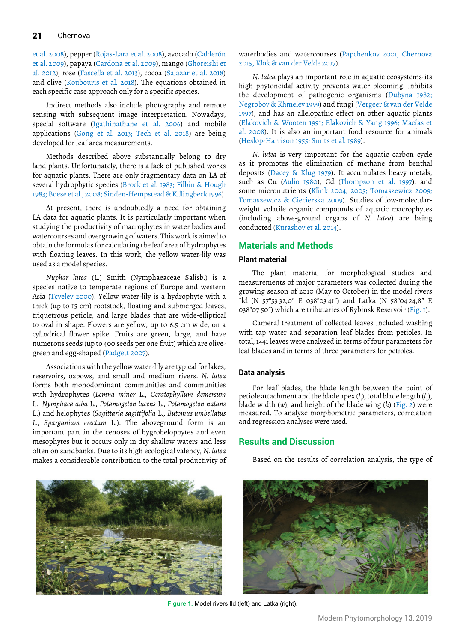et al. 2008), pepper (Rojas-Lara et al. 2008), avocado (Calderón et al. 2009), papaya (Cardona et al. 2009), mango (Ghoreishi et al. 2012), rose (Fascella et al. 2013), cocoa (Salazar et al. 2018) and olive (Koubouris et al. 2018). The equations obtained in each specific case approach only for a specific species.

Indirect methods also include photography and remote sensing with subsequent image interpretation. Nowadays, special software (Igathinathane et al. 2006) and mobile applications (Gong et al. 2013; Tech et al. 2018) are being developed for leaf area measurements.

Methods described above substantially belong to dry land plants. Unfortunately, there is a lack of published works for aquatic plants. There are only fragmentary data on LA of several hydrophytic species (Brock et al. 1983; Filbin & Hough 1983; Boese et al., 2008; Sinden-Hempstead & Killingbeck 1996).

At present, there is undoubtedly a need for obtaining LA data for aquatic plants. It is particularly important when studying the productivity of macrophytes in water bodies and watercourses and overgrowing of waters. This work is aimed to obtain the formulas for calculating the leaf area of hydrophytes with floating leaves. In this work, the yellow water-lily was used as a model species.

*Nuphar lutea* (L.) Smith (Nymphaeaceae Salisb.) is a species native to temperate regions of Europe and western Asia (Tcvelev 2000). Yellow water-lily is a hydrophyte with a thick (up to 15 cm) rootstock, floating and submerged leaves, triquetrous petiole, and large blades that are wide-elliptical to oval in shape. Flowers are yellow, up to 6.5 cm wide, on a cylindrical flower spike. Fruits are green, large, and have numerous seeds (up to 400 seeds per one fruit) which are olivegreen and egg-shaped (Padgett 2007).

Associations with the yellow water-lily are typical for lakes, reservoirs, oxbows, and small and medium rivers. *N. lutea* forms both monodominant communities and communities with hydrophytes (*Lemna minor* L., *Ceratophyllum demersum* L., *Nymphaea alba* L., *Potamogeton lucens* L., *Potamogeton natans* L.) and helophytes (*Sagittaria sagittifolia* L., *Butomus umbellatus L., Sparganium erectum* L.). The aboveground form is an important part in the cenoses of hygrohelophytes and even mesophytes but it occurs only in dry shallow waters and less often on sandbanks. Due to its high ecological valency, *N. lutea*  makes a considerable contribution to the total productivity of



waterbodies and watercourses (Papchenkov 2001, Chernova 2015, Klok & van der Velde 2017).

*N. lutea* plays an important role in aquatic ecosystems-its high phytoncidal activity prevents water blooming, inhibits the development of pathogenic organisms (Dubyna 1982; Negrobov & Khmelev 1999) and fungi (Vergeer & van der Velde 1997), and has an allelopathic effect on other aquatic plants (Elakovich & Wooten 1991; Elakovich & Yang 1996; Macías et al. 2008). It is also an important food resource for animals (Heslop-Harrison 1955; Smits et al. 1989).

*N. lutea* is very important for the aquatic carbon cycle as it promotes the elimination of methane from benthal deposits (Dacey & Klug 1979). It accumulates heavy metals, such as Cu (Aulio 1980), Cd (Thompson et al. 1997), and some micronutrients (Klink 2004, 2005; Tomaszewicz 2009; Tomaszewicz & Ciecierska 2009). Studies of low-molecularweight volatile organic compounds of aquatic macrophytes (including above-ground organs of *N. lutea*) are being conducted (Kurashov et al. 2014).

## **Materials and Methods**

#### **Plant material**

The plant material for morphological studies and measurements of major parameters was collected during the growing season of 2010 (May to October) in the model rivers Ild (N 57°53 32,0" E 038°03 41") and Latka (N 58°04 24,8" E 038°07 50") which are tributaries of Rybinsk Reservoir (Fig. 1).

Cameral treatment of collected leaves included washing with tap water and separation leaf blades from petioles. In total, 1441 leaves were analyzed in terms of four parameters for leaf blades and in terms of three parameters for petioles.

#### **Data analysis**

For leaf blades, the blade length between the point of petiole attachment and the blade apex (*l* ), total blade length (*l* ), 1 2 blade width (*w*), and height of the blade wing (*h*) (Fig. 2) were measured. To analyze morphometric parameters, correlation and regression analyses were used.

### **Results and Discussion**

Based on the results of correlation analysis, the type of



Figure 1. Model rivers Ild (left) and Latka (right).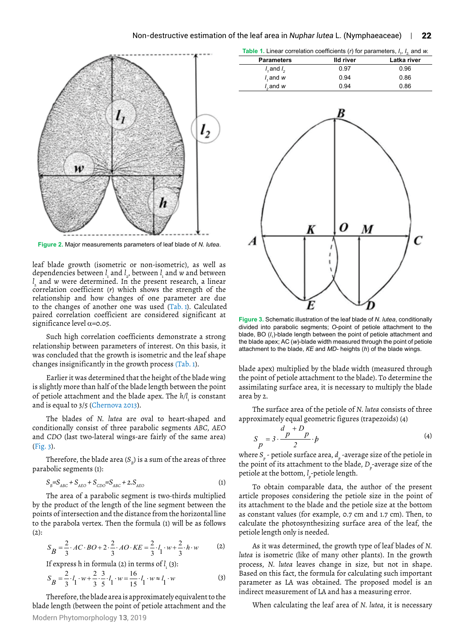

**Figure 2.** Major measurements parameters of leaf blade of *N. lutea*.

leaf blade growth (isometric or non-isometric), as well as dependencies between *l*<sub>,</sub> and *l*<sub>,</sub>, between *l*<sub>,</sub> and *w* and between *l*<sub>1</sub> and *w* were determined. In the present research, a linear *l*<sub>1</sub> 2 correlation coefficient (*r*) which shows the strength of the relationship and how changes of one parameter are due to the changes of another one was used (Tab. 1). Calculated paired correlation coefficient are considered significant at significance level  $\alpha$ =0.05.

Such high correlation coefficients demonstrate a strong relationship between parameters of interest. On this basis, it was concluded that the growth is isometric and the leaf shape changes insignificantly in the growth process (Tab. 1).

Earlier it was determined that the height of the blade wing is slightly more than half of the blade length between the point of petiole attachment and the blade apex. The *h/l*<sub>1</sub> is constant and is equal to 3/5 (Chernova 2013).

The blades of *N. lutea* are oval to heart-shaped and conditionally consist of three parabolic segments *ABC*, *AEO*  and *CDO* (last two-lateral wings-are fairly of the same area) (Fig. 3).

Therefore, the blade area  $(S_p)$  is a sum of the areas of three parabolic segments (1):

$$
S_{B} = S_{ABC} + S_{AEO} + S_{CDO} = S_{ABC} + 2.S_{AEO}
$$
 (1)

The area of a parabolic segment is two-thirds multiplied by the product of the length of the line segment between the points of intersection and the distance from the horizontal line to the parabola vertex. Then the formula (1) will be as follows  $(2)$ :

$$
S_B = \frac{2}{3} \cdot AC \cdot BO + 2 \cdot \frac{2}{3} \cdot AO \cdot KE = \frac{2}{3} \cdot l_1 \cdot w + \frac{2}{3} \cdot h \cdot w \tag{2}
$$

If express h in formula (2) in terms of *l* 1 (3):

$$
S_B = \frac{2}{3} \cdot l_1 \cdot w + \frac{2}{3} \cdot \frac{3}{5} \cdot l_1 \cdot w = \frac{16}{15} \cdot l_1 \cdot w \approx l_1 \cdot w \tag{3}
$$

Modern Phytomorphology **13**, 2019 Therefore, the blade area is approximately equivalent to the blade length (between the point of petiole attachment and the

| <b>Parameters</b> | lld river | Latka river |
|-------------------|-----------|-------------|
| $l$ , and $l$ ,   | 0.97      | 0.96        |
| $l$ , and $w$     | 0.94      | 0.86        |
| $l2$ and $w$      | 0.94      | 0.86        |

**Table 1.** Linear correlation coefficients (*r*) for parameters, *l*



**Figure 3.** Schematic illustration of the leaf blade of *N. lutea*, conditionally divided into parabolic segments; *О*-point of petiole attachment to the blade, BO (/<sub>1</sub>)-blade length between the point of petiole attachment and the blade apex; АС (*w*)-blade width measured through the point of petiole attachment to the blade, *КЕ* and *MD*- heights (*h*) of the blade wings.

blade apex) multiplied by the blade width (measured through the point of petiole attachment to the blade). To determine the assimilating surface area, it is necessary to multiply the blade area by 2.

The surface area of the petiole of *N. lutea* consists of three approximately equal geometric figures (trapezoids) (4)

$$
S_p = 3 \cdot \frac{p + D_p}{2} \cdot p \tag{4}
$$

where  $S_p$  - petiole surface area,  $d_p$  -average size of the petiole in the point of its attachment to the blade, *D<sub>p</sub>*-average size of the petiole at the bottom,  $l_{p}$ -petiole length.

To obtain comparable data, the author of the present article proposes considering the petiole size in the point of its attachment to the blade and the petiole size at the bottom as constant values (for example, 0.7 cm and 1.7 cm). Then, to calculate the photosynthesizing surface area of the leaf, the petiole length only is needed.

As it was determined, the growth type of leaf blades of *N. lutea* is isometric (like of many other plants). In the growth process, *N. lutea* leaves change in size, but not in shape. Based on this fact, the formula for calculating such important parameter as LA was obtained. The proposed model is an indirect measurement of LA and has a measuring error.

When calculating the leaf area of *N. lutea*, it is necessary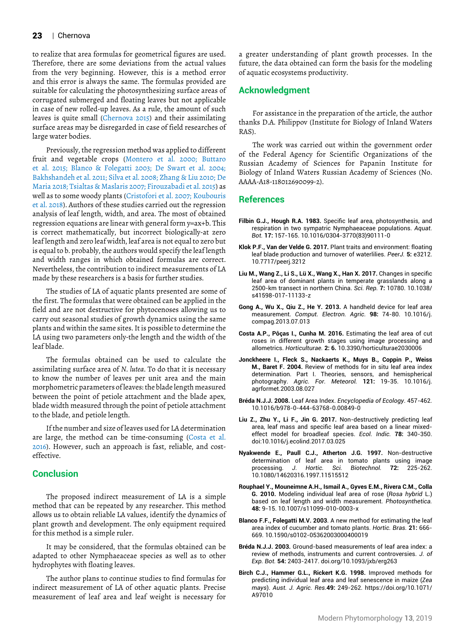to realize that area formulas for geometrical figures are used. Therefore, there are some deviations from the actual values from the very beginning. However, this is a method error and this error is always the same. The formulas provided are suitable for calculating the photosynthesizing surface areas of corrugated submerged and floating leaves but not applicable in case of new rolled-up leaves. As a rule, the amount of such leaves is quite small (Chernova 2015) and their assimilating surface areas may be disregarded in case of field researches of large water bodies.

Previously, the regression method was applied to different fruit and vegetable crops (Montero et al. 2000; Buttaro et al. 2015; Blanco & Folegatti 2003; De Swart et al. 2004; Bakhshandeh et al. 2011; Silva et al. 2008; Zhang & Liu 2010; De Maria 2018; Tsialtas & Maslaris 2007; Firouzabadi et al. 2015) as well as to some woody plants (Cristofori et al. 2007; Koubouris et al. 2018). Authors of these studies carried out the regression analysis of leaf length, width, and area. The most of obtained regression equations are linear with general form y=ax+b. This is correct mathematically, but incorrect biologically-at zero leaf length and zero leaf width, leaf area is not equal to zero but is equal to b. probably, the authors would specify the leaf length and width ranges in which obtained formulas are correct. Nevertheless, the contribution to indirect measurements of LA made by these researchers is a basis for further studies.

The studies of LA of aquatic plants presented are some of the first. The formulas that were obtained can be applied in the field and are not destructive for phytocenoses allowing us to carry out seasonal studies of growth dynamics using the same plants and within the same sites. It is possible to determine the LA using two parameters only-the length and the width of the leaf blade.

The formulas obtained can be used to calculate the assimilating surface area of *N. lutea*. To do that it is necessary to know the number of leaves per unit area and the main morphometric parameters of leaves: the blade length measured between the point of petiole attachment and the blade apex, blade width measured through the point of petiole attachment to the blade, and petiole length.

If the number and size of leaves used for LA determination are large, the method can be time-consuming (Costa et al. 2016). However, such an approach is fast, reliable, and costeffective.

# **Conclusion**

The proposed indirect measurement of LA is a simple method that can be repeated by any researcher. This method allows us to obtain reliable LA values, identify the dynamics of plant growth and development. The only equipment required for this method is a simple ruler.

It may be considered, that the formulas obtained can be adapted to other Nymphaeaceae species as well as to other hydrophytes with floating leaves.

The author plans to continue studies to find formulas for indirect measurement of LA of other aquatic plants. Precise measurement of leaf area and leaf weight is necessary for a greater understanding of plant growth processes. In the future, the data obtained can form the basis for the modeling of aquatic ecosystems productivity.

### **Acknowledgment**

For assistance in the preparation of the article, the author thanks D.A. Philippov (Institute for Biology of Inland Waters RAS).

The work was carried out within the government order of the Federal Agency for Scientific Organizations of the Russian Academy of Sciences for Papanin Institute for Biology of Inland Waters Russian Academy of Sciences (No. AAAA-A18-118012690099-2).

## **References**

- **Filbin G.J., Hough R.A. 1983.** Specific leaf area, photosynthesis, and respiration in two sympatric Nymphaeaceae populations. *Aquat. Bot.* **17:** 157-165. 10.1016/0304-3770(83)90111-0
- **Klok P.F., Van der Velde G. 2017.** Plant traits and environment: floating leaf blade production and turnover of waterlilies. *PeerJ.* **5:** e3212. 10.7717/peerj.3212
- **Liu M., Wang Z., Li S., Lü X., Wang X., Han X. 2017.** Changes in specific leaf area of dominant plants in temperate grasslands along a 2500-km transect in northern China. *Sci. Rep.* **7:** 10780. 10.1038/ s41598-017-11133-z
- **Gong A., Wu X., Qiu Z., He Y. 2013.** A handheld device for leaf area measurement. *Comput. Electron. Agric.* **98:** 74-80. 10.1016/j. compag.2013.07.013
- **Costa A.P., Pôças I., Cunha M. 2016.** Estimating the leaf area of cut roses in different growth stages using image processing and allometrics. *Horticulturae.* **2: 6.** 10.3390/horticulturae2030006
- **Jonckheere I., Fleck S., Nackaerts K., Muys B., Coppin P., Weiss M., Baret F. 2004.** Review of methods for in situ leaf area index determination. Part I. Theories, sensors, and hemispherical photography. *Agric. For. Meteorol.* **121:** 19-35. 10.1016/j. agrformet.2003.08.027
- **Bréda N.J.J. 2008.** Leaf Area Index. *Encyclopedia of Ecology*. 457-462*.*  10.1016/b978-0-444-63768-0.00849-0
- **Liu Z., Zhu Y., Li F., Jin G. 2017.** Non-destructively predicting leaf area, leaf mass and specific leaf area based on a linear mixedeffect model for broadleaf species. *Ecol. Indic.* **78:** 340-350. doi:10.1016/j.ecolind.2017.03.025
- **Nyakwende E., Paull C.J., Atherton J.G. 1997.** Non-destructive determination of leaf area in tomato plants using image processing. *J. Hortic. Sci. Biotechnol.* **72:** 225-262. 10.1080/14620316.1997.11515512
- **Rouphael Y., Mouneimne A.H., Ismail A., Gyves E.M., Rivera C.M., Colla G. 2010.** Modeling individual leaf area of rose (*Rosa hybrid* L.) based on leaf length and width measurement. *Photosynthetica.*  **48:** 9-15. 10.1007/s11099-010-0003-x
- **Blanco F.F., Folegatti M.V. 2003**. A new method for estimating the leaf area index of cucumber and tomato plants. *Hortic. Bras.* **21:** 666- 669. 10.1590/s0102-05362003000400019
- **Bréda N.J.J. 2003.** Ground-based measurements of leaf area index: a review of methods, instruments and current controversies. *J. of Exp. Bot.* **54:** 2403-2417. doi.org/10.1093/jxb/erg263
- **Birch C.J., Hammer G.L., Rickert K.G. 1998.** Improved methods for predicting individual leaf area and leaf senescence in maize (*Zea mays*). *Aust. J. Agric. Res.***49:** 249-262. https://doi.org/10.1071/ A97010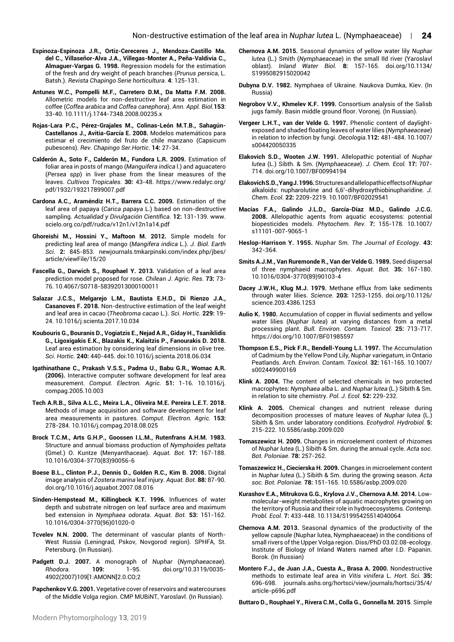- **Espinoza-Espinoza J.R., Ortiz-Cereceres J., Mendoza-Castillo Ma. del C., Villaseñor-Alva J.A., Villegas-Monter A., Peña-Valdivia C., Almaguer-Vargas G. 1998.** Regression models for the estimation of the fresh and dry weight of peach branches (*Prunus persica*, L. Batsh.). *Revista Chapingo Serie horticultura.* **4**: 125-131.
- **Antunes W.C., Pompelli M.F., Carretero D.M., Da Matta F.M. 2008.** Allometric models for non-destructive leaf area estimation in coffee (*Coffea arabica* and *Coffea canephora*). *Ann. Appl. Biol.***153**: 33-40. 10.1111/j.1744-7348.2008.00235.x
- **Rojas-Lara P.C., Pérez-Grajales M., Colinas-León M.T.B., Sahagún-Castellanos J., Avitia-García E. 2008.** Modelos matemáticos para estimar el crecimiento del fruto de chile manzano (Capsicum pubescens). *Rev. Chapingo Ser.Hortic.* **14:** 27-34.
- **Calderón A., Soto F., Calderón M., Fundora L.R. 2009.** Estimation of foliar area in posts of mango (*Manguifera indica* l.) and aguacatero (*Persea spp*) in liver phase from the linear measures of the leaves. *Cultivos Tropicales.* **30:** 43-48. https://www.redalyc.org/ pdf/1932/193217899007.pdf
- **Cardona A.C., Araméndiz H.T., Barrera C.C. 2009.** Estimation of the leaf area of papaya (*Carica papaya* L.) based on non-destructive sampling. *Actualidad y Divulgación Científica*. **12:** 131-139. www. scielo.org.co/pdf/rudca/v12n1/v12n1a14.pdf
- **Ghoreishi M., Hossini Y., Maftoon M. 2012.** Simple models for predicting leaf area of mango (*Mangifera indica* L.). *J. Biol. Earth Sci.* **2:** 845-853. newjournals.tmkarpinski.com/index.php/jbes/ article/viewFile/15/20
- **Fascella G., Darwich S., Rouphael Y. 2013.** Validation of a leaf area prediction model proposed for rose. *Chilean J. Agric. Res.* **73:** 73- 76. 10.4067/S0718-58392013000100011
- **Salazar J.C.S., Melgarejo L.M., Bautista E.H.D., Di Rienzo J.A., Casanoves F. 2018.** Non-destructive estimation of the leaf weight and leaf area in cacao (*Theobroma cacao* L.). *Sci. Hortic.* **229:** 19- 24. 10.1016/j.scienta.2017.10.034
- **Koubouris G., Bouranis D., Vogiatzis E., Nejad A.R., Giday H., Tsaniklidis G., Ligoxigakis E.K., Blazakis K., Kalaitzis P., Fanourakis D. 2018.** Leaf area estimation by considering leaf dimensions in olive tree. *Sci. Hortic.* **240:** 440-445. doi:10.1016/j.scienta.2018.06.034
- **Igathinathane C., Prakash V.S.S., Padma U., Babu G.R., Womac A.R. (2006).** Interactive computer software development for leaf area measurement. *Comput. Electron. Agric.* **51:** 1-16. 10.1016/j. compag.2005.10.003
- **Tech A.R.B., Silva A.L.C., Meira L.A., Oliveira M.E. Pereira L.E.T. 2018.** Methods of image acquisition and software development for leaf area measurements in pastures. *Comput. Electron. Agric.* **153:** 278-284. 10.1016/j.compag.2018.08.025
- **Brock T.C.M., Arts G.H.P., Goossen I.L.M., Rutenfrans A.H.M. 1983.**  Structure and annual biomass production of *Nymphoides peltata*  (Gmel.) O. Kuntze (Menyanthaceae). *Aquat. Bot.* **17:** 167-188. 10.1016/0304-3770(83)90056-6
- **Boese B.L., Clinton P.J., Dennis D., Golden R.C., Kim B. 2008.** Digital image analysis of *Zostera marina* leaf injury*. Aquat. Bot.* **88:** 87-90. doi.org/10.1016/j.aquabot.2007.08.016
- **Sinden-Hempstead M., Killingbeck K.T. 1996.** Influences of water depth and substrate nitrogen on leaf surface area and maximum bed extension in *Nymphaea odorata*. *Aquat. Bot.* **53:** 151-162. 10.1016/0304-3770(96)01020-0
- **Tcvelev N.N. 2000.** The determinant of vascular plants of North-West Russia (Leningrad, Pskov, Novgorod region). SPHFA, St. Petersburg. (In Russian).
- **Padgett D.J. 2007.** A monograph of *Nuphar* (*Nymphaeaceae*). *Rhodora.* **109:** 1-95. doi.org/10.3119/0035- 4902(2007)109[1:AMONN]2.0.CO;2
- **Papchenkov V.G. 2001.** Vegetative cover of reservoirs and watercourses of the Middle Volga region. CMP MUBiNT, Yaroslavl. (In Russian).
- **Chernova A.M. 2015.** Seasonal dynamics of yellow water lily *Nuphar lutea* (L.) Smith (*Nymphaeaceae*) in the small Ild river (Yaroslavl oblast). *Inland Water Biol.* **8:** 157-165. doi.org/10.1134/ S1995082915020042
- **Dubyna D.V. 1982.** Nymphaea of Ukraine. Naukova Dumka, Kiev. (In Russia)
- **Negrobov V.V., Khmelev K.F. 1999.** Consortium analysis of the Salisb jugs family. Basin middle ground floor. Voronej. (In Russian).
- **Vergeer L.H.T., van der Velde G. 1997.** Phenolic content of daylightexposed and shaded floating leaves of water lilies (*Nymphaeaceae*) in relation to infection by fungi. *Oecologia.***112:** 481-484. 10.1007/ s004420050335
- **Elakovich S.D., Wooten J.W. 1991.** Allelopathic potential of *Nuphar lutea* (L.) Sibth. & Sm. (*Nymphaeaceae*). *J. Chem. Ecol.* **17:** 707- 714. doi.org/10.1007/BF00994194
- **Elakovich S.D., Yang J. 1996.** Structures and allelopathic effects of *Nuphar* alkaloids: nupharolutine and 6,6'-dihydroxythiobinupharidine. *J. Chem. Ecol.* **22:** 2209-2219. 10.1007/BF02029541
- **Macías F.A., Galindo J.L.D., García-Díaz M.D., Galindo J.C.G. 2008.** Allelopathic agents from aquatic ecosystems: potential biopesticides models. *Phytochem. Rev.* **7:** 155-178. 10.1007/ s11101-007-9065-1
- **Heslop-Harrison Y. 1955.** *Nuphar* Sm. *The Journal of Ecology.* **43:** 342-364.
- **Smits A.J.M., Van Ruremonde R., Van der Velde G. 1989.** Seed dispersal of three nymphaeid macrophytes. *Aquat. Bot.* **35:** 167-180. 10.1016/0304-3770(89)90103-4
- **Dacey J.W.H., Klug M.J. 1979.** Methane efflux from lake sediments through water lilies. *Science.* **203:** 1253-1255. doi.org/10.1126/ science.203.4386.1253
- **Aulio K. 1980.** Accumulation of copper in fluvial sediments and yellow water lilies (*Nuphar lutea*) at varying distances from a metal processing plant. *Bull. Environ. Contam. Toxicol*. **25:** 713-717. https://doi.org/10.1007/BF01985597
- **Thompson E.S., Pick F.R., Bendell-Young L.I. 1997.** The Accumulation of Cadmium by the Yellow Pond Lily, *Nuphar variegatum*, in Ontario Peatlands. *Arch. Environ. Contam. Toxicol.* **32:** 161-165. 10.1007/ s002449900169
- **Klink A. 2004.** The content of selected chemicals in two protected macrophytes: *Nymphaea alba* L. and *Nuphar lutea* (L.) Sibith & Sm. in relation to site chemistry. *Pol. J. Ecol.* **52:** 229-232.
- **Klink A. 2005.** Chemical changes and nutrient release during decomposition processes of mature leaves of *Nuphar lutea* (L.) Sibith & Sm. under laboratory conditions. *Ecohydrol. Hydrobiol.* **5:**  215-222. 10.5586/asbp.2009.020
- **Tomaszewicz H. 2009.** Changes in microelement content of rhizomes of *Nuphar lutea* (L.) Sibith & Sm. during the annual cycle. *Acta soc. Bot. Poloniae.* **78:** 257-262.
- **Tomaszewicz H., Ciecierska H. 2009.** Changes in microelement content in *Nuphar lutea* (L.) Sibith & Sm. during the growing season. *Acta soc. Bot. Poloniae.* **78:** 151-165. 10.5586/asbp.2009.020
- **Kurashov E.A., Mitrukova G.G., Krylova J.V., Chernova A.M. 2014.** Lowmolecular-weight metabolites of aquatic macrophytes growing on the territory of Russia and their role in hydroecosystems. *Contemp. Probl. Ecol.* **7:** 433-448. [10.1134/S1995425514040064](https://doi.org/10.1134/S1995425514040064)
- **Chernova A.M. 2013.** Seasonal dynamics of the productivity of the yellow capsule (Nuphar lutea, Nymphaeaceae) in the conditions of small rivers of the Upper Volga region. Diss/PhD 03.02.08-ecology. Institute of Biology of Inland Waters named after I.D. Papanin. Borok. (In Russian)
- **Montero F.J., de Juan J.A., Cuesta A., Brasa A. 2000.** Nondestructive methods to estimate leaf area in *Vitis vinifera* L. *Hort. Sci.* **35:** 696-698. journals.ashs.org/hortsci/view/journals/hortsci/35/4/ article-p696.pdf

**Buttaro D., Rouphael Y., Rivera C.M., Colla G., Gonnella M. 2015**. Simple